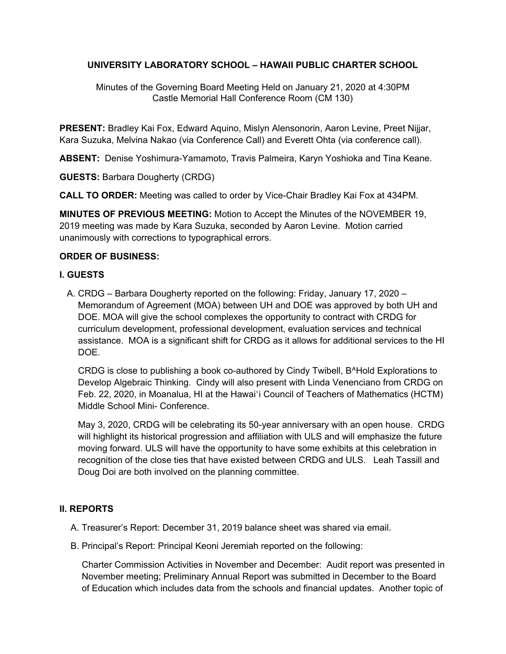# **UNIVERSITY LABORATORY SCHOOL – HAWAII PUBLIC CHARTER SCHOOL**

Minutes of the Governing Board Meeting Held on January 21, 2020 at 4:30PM Castle Memorial Hall Conference Room (CM 130)

**PRESENT:** Bradley Kai Fox, Edward Aquino, Mislyn Alensonorin, Aaron Levine, Preet Nijjar, Kara Suzuka, Melvina Nakao (via Conference Call) and Everett Ohta (via conference call).

**ABSENT:** Denise Yoshimura-Yamamoto, Travis Palmeira, Karyn Yoshioka and Tina Keane.

**GUESTS:** Barbara Dougherty (CRDG)

**CALL TO ORDER:** Meeting was called to order by Vice-Chair Bradley Kai Fox at 434PM.

**MINUTES OF PREVIOUS MEETING:** Motion to Accept the Minutes of the NOVEMBER 19, 2019 meeting was made by Kara Suzuka, seconded by Aaron Levine. Motion carried unanimously with corrections to typographical errors.

# **ORDER OF BUSINESS:**

# **I. GUESTS**

A. CRDG – Barbara Dougherty reported on the following: Friday, January 17, 2020 – Memorandum of Agreement (MOA) between UH and DOE was approved by both UH and DOE. MOA will give the school complexes the opportunity to contract with CRDG for curriculum development, professional development, evaluation services and technical assistance. MOA is a significant shift for CRDG as it allows for additional services to the HI DOE.

CRDG is close to publishing a book co-authored by Cindy Twibell, B^Hold Explorations to Develop Algebraic Thinking. Cindy will also present with Linda Venenciano from CRDG on Feb. 22, 2020, in Moanalua, HI at the Hawaiʻi Council of Teachers of Mathematics (HCTM) Middle School Mini- Conference.

May 3, 2020, CRDG will be celebrating its 50-year anniversary with an open house. CRDG will highlight its historical progression and affiliation with ULS and will emphasize the future moving forward. ULS will have the opportunity to have some exhibits at this celebration in recognition of the close ties that have existed between CRDG and ULS. Leah Tassill and Doug Doi are both involved on the planning committee.

# **II. REPORTS**

- A. Treasurer's Report: December 31, 2019 balance sheet was shared via email.
- B. Principal's Report: Principal Keoni Jeremiah reported on the following:

Charter Commission Activities in November and December: Audit report was presented in November meeting; Preliminary Annual Report was submitted in December to the Board of Education which includes data from the schools and financial updates. Another topic of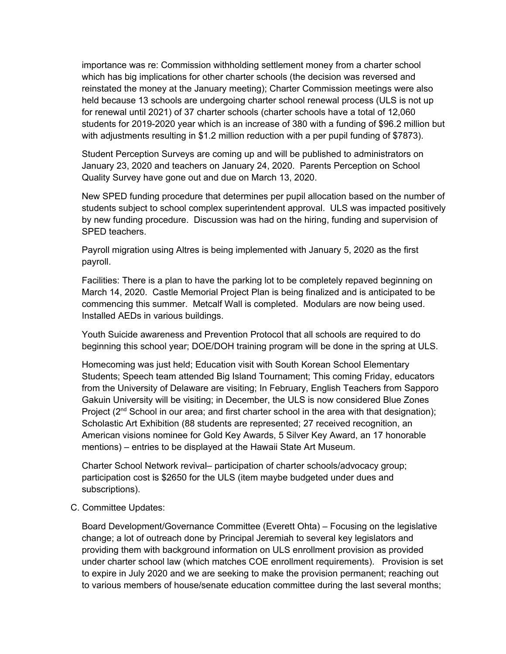importance was re: Commission withholding settlement money from a charter school which has big implications for other charter schools (the decision was reversed and reinstated the money at the January meeting); Charter Commission meetings were also held because 13 schools are undergoing charter school renewal process (ULS is not up for renewal until 2021) of 37 charter schools (charter schools have a total of 12,060 students for 2019-2020 year which is an increase of 380 with a funding of \$96.2 million but with adjustments resulting in \$1.2 million reduction with a per pupil funding of \$7873).

Student Perception Surveys are coming up and will be published to administrators on January 23, 2020 and teachers on January 24, 2020. Parents Perception on School Quality Survey have gone out and due on March 13, 2020.

New SPED funding procedure that determines per pupil allocation based on the number of students subject to school complex superintendent approval. ULS was impacted positively by new funding procedure. Discussion was had on the hiring, funding and supervision of SPED teachers.

Payroll migration using Altres is being implemented with January 5, 2020 as the first payroll.

Facilities: There is a plan to have the parking lot to be completely repaved beginning on March 14, 2020. Castle Memorial Project Plan is being finalized and is anticipated to be commencing this summer. Metcalf Wall is completed. Modulars are now being used. Installed AEDs in various buildings.

Youth Suicide awareness and Prevention Protocol that all schools are required to do beginning this school year; DOE/DOH training program will be done in the spring at ULS.

Homecoming was just held; Education visit with South Korean School Elementary Students; Speech team attended Big Island Tournament; This coming Friday, educators from the University of Delaware are visiting; In February, English Teachers from Sapporo Gakuin University will be visiting; in December, the ULS is now considered Blue Zones Project (2<sup>nd</sup> School in our area; and first charter school in the area with that designation); Scholastic Art Exhibition (88 students are represented; 27 received recognition, an American visions nominee for Gold Key Awards, 5 Silver Key Award, an 17 honorable mentions) – entries to be displayed at the Hawaii State Art Museum.

Charter School Network revival– participation of charter schools/advocacy group; participation cost is \$2650 for the ULS (item maybe budgeted under dues and subscriptions).

C. Committee Updates:

Board Development/Governance Committee (Everett Ohta) – Focusing on the legislative change; a lot of outreach done by Principal Jeremiah to several key legislators and providing them with background information on ULS enrollment provision as provided under charter school law (which matches COE enrollment requirements). Provision is set to expire in July 2020 and we are seeking to make the provision permanent; reaching out to various members of house/senate education committee during the last several months;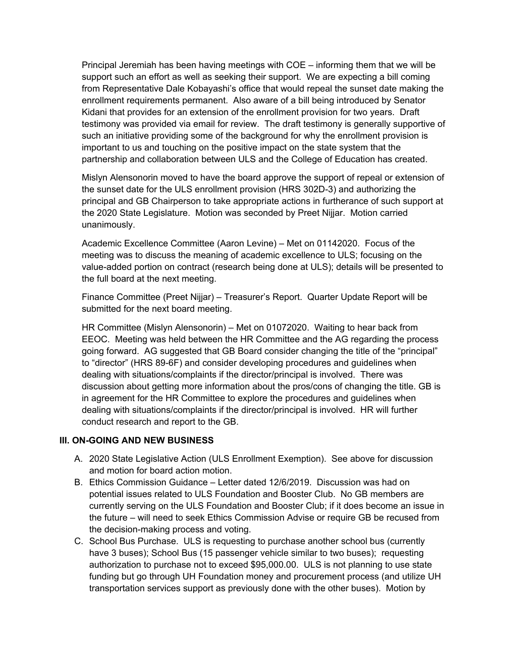Principal Jeremiah has been having meetings with COE – informing them that we will be support such an effort as well as seeking their support. We are expecting a bill coming from Representative Dale Kobayashi's office that would repeal the sunset date making the enrollment requirements permanent. Also aware of a bill being introduced by Senator Kidani that provides for an extension of the enrollment provision for two years. Draft testimony was provided via email for review. The draft testimony is generally supportive of such an initiative providing some of the background for why the enrollment provision is important to us and touching on the positive impact on the state system that the partnership and collaboration between ULS and the College of Education has created.

Mislyn Alensonorin moved to have the board approve the support of repeal or extension of the sunset date for the ULS enrollment provision (HRS 302D-3) and authorizing the principal and GB Chairperson to take appropriate actions in furtherance of such support at the 2020 State Legislature. Motion was seconded by Preet Nijjar. Motion carried unanimously.

Academic Excellence Committee (Aaron Levine) – Met on 01142020. Focus of the meeting was to discuss the meaning of academic excellence to ULS; focusing on the value-added portion on contract (research being done at ULS); details will be presented to the full board at the next meeting.

Finance Committee (Preet Nijjar) – Treasurer's Report. Quarter Update Report will be submitted for the next board meeting.

HR Committee (Mislyn Alensonorin) – Met on 01072020. Waiting to hear back from EEOC. Meeting was held between the HR Committee and the AG regarding the process going forward. AG suggested that GB Board consider changing the title of the "principal" to "director" (HRS 89-6F) and consider developing procedures and guidelines when dealing with situations/complaints if the director/principal is involved. There was discussion about getting more information about the pros/cons of changing the title. GB is in agreement for the HR Committee to explore the procedures and guidelines when dealing with situations/complaints if the director/principal is involved. HR will further conduct research and report to the GB.

### **III. ON-GOING AND NEW BUSINESS**

- A. 2020 State Legislative Action (ULS Enrollment Exemption). See above for discussion and motion for board action motion.
- B. Ethics Commission Guidance Letter dated 12/6/2019. Discussion was had on potential issues related to ULS Foundation and Booster Club. No GB members are currently serving on the ULS Foundation and Booster Club; if it does become an issue in the future – will need to seek Ethics Commission Advise or require GB be recused from the decision-making process and voting.
- C. School Bus Purchase. ULS is requesting to purchase another school bus (currently have 3 buses); School Bus (15 passenger vehicle similar to two buses); requesting authorization to purchase not to exceed \$95,000.00. ULS is not planning to use state funding but go through UH Foundation money and procurement process (and utilize UH transportation services support as previously done with the other buses). Motion by